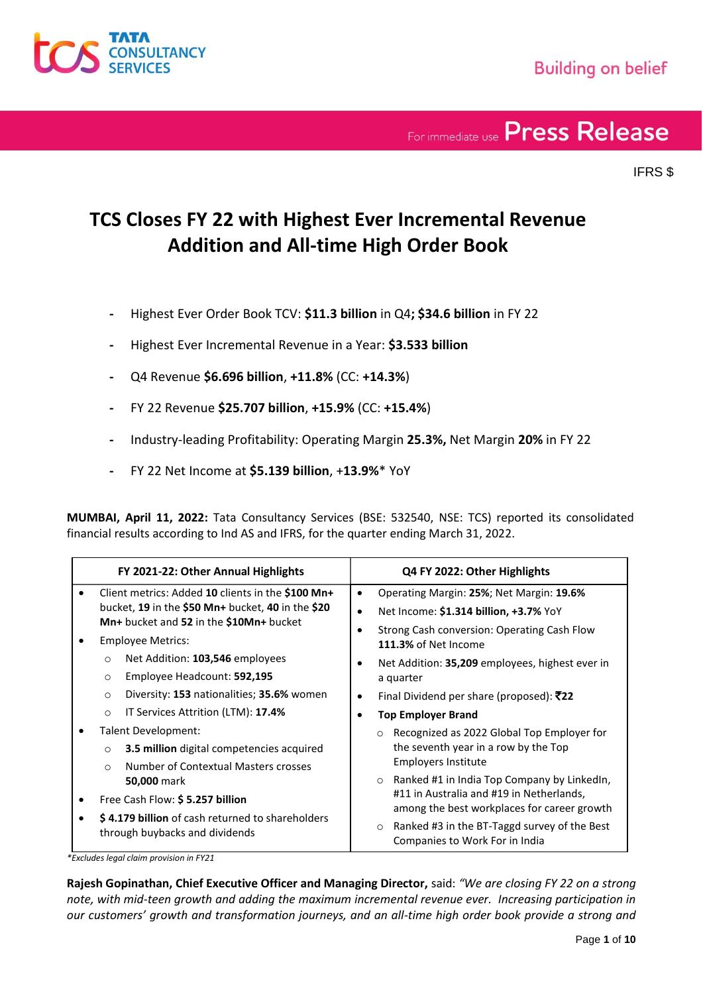

IFRS \$

### **TCS Closes FY 22 with Highest Ever Incremental Revenue Addition and All-time High Order Book**

- **-** Highest Ever Order Book TCV: **\$11.3 billion** in Q4**; \$34.6 billion** in FY 22
- **-** Highest Ever Incremental Revenue in a Year: **\$3.533 billion**
- **-** Q4 Revenue **\$6.696 billion**, **+11.8%** (CC: **+14.3%**)
- **-** FY 22 Revenue **\$25.707 billion**, **+15.9%** (CC: **+15.4%**)
- **-** Industry-leading Profitability: Operating Margin **25.3%,** Net Margin **20%** in FY 22
- **-** FY 22 Net Income at **\$5.139 billion**, +**13.9%**\* YoY

**MUMBAI, April 11, 2022:** Tata Consultancy Services (BSE: 532540, NSE: TCS) reported its consolidated financial results according to Ind AS and IFRS, for the quarter ending March 31, 2022.

| FY 2021-22: Other Annual Highlights                                                |                                                                                                                                                   | Q4 FY 2022: Other Highlights                                                                                                                                |  |
|------------------------------------------------------------------------------------|---------------------------------------------------------------------------------------------------------------------------------------------------|-------------------------------------------------------------------------------------------------------------------------------------------------------------|--|
|                                                                                    | Client metrics: Added 10 clients in the \$100 Mn+<br>bucket, 19 in the \$50 Mn+ bucket, 40 in the \$20<br>Mn+ bucket and 52 in the \$10Mn+ bucket | Operating Margin: 25%; Net Margin: 19.6%<br>$\bullet$<br>Net Income: \$1.314 billion, +3.7% YoY<br>$\bullet$<br>Strong Cash conversion: Operating Cash Flow |  |
|                                                                                    | <b>Employee Metrics:</b>                                                                                                                          | 111.3% of Net Income                                                                                                                                        |  |
|                                                                                    | Net Addition: 103,546 employees<br>$\circ$<br>Employee Headcount: 592,195<br>$\circ$                                                              | Net Addition: 35,209 employees, highest ever in<br>a quarter                                                                                                |  |
|                                                                                    | Diversity: 153 nationalities; 35.6% women<br>$\circ$                                                                                              | Final Dividend per share (proposed): ₹22<br>$\bullet$                                                                                                       |  |
|                                                                                    | IT Services Attrition (LTM): 17.4%<br>$\circ$                                                                                                     | <b>Top Employer Brand</b>                                                                                                                                   |  |
|                                                                                    | Talent Development:<br>3.5 million digital competencies acquired<br>$\circ$<br>Number of Contextual Masters crosses<br>$\bigcirc$                 | Recognized as 2022 Global Top Employer for<br>$\Omega$<br>the seventh year in a row by the Top<br><b>Employers Institute</b>                                |  |
|                                                                                    | <b>50,000 mark</b><br>Free Cash Flow: \$5.257 billion                                                                                             | Ranked #1 in India Top Company by LinkedIn,<br>$\circ$<br>#11 in Australia and #19 in Netherlands,<br>among the best workplaces for career growth           |  |
| \$4.179 billion of cash returned to shareholders<br>through buybacks and dividends |                                                                                                                                                   | Ranked #3 in the BT-Taggd survey of the Best<br>$\circ$<br>Companies to Work For in India                                                                   |  |

*\*Excludes legal claim provision in FY21*

**Rajesh Gopinathan, Chief Executive Officer and Managing Director,** said: *"We are closing FY 22 on a strong note, with mid-teen growth and adding the maximum incremental revenue ever. Increasing participation in our customers' growth and transformation journeys, and an all-time high order book provide a strong and*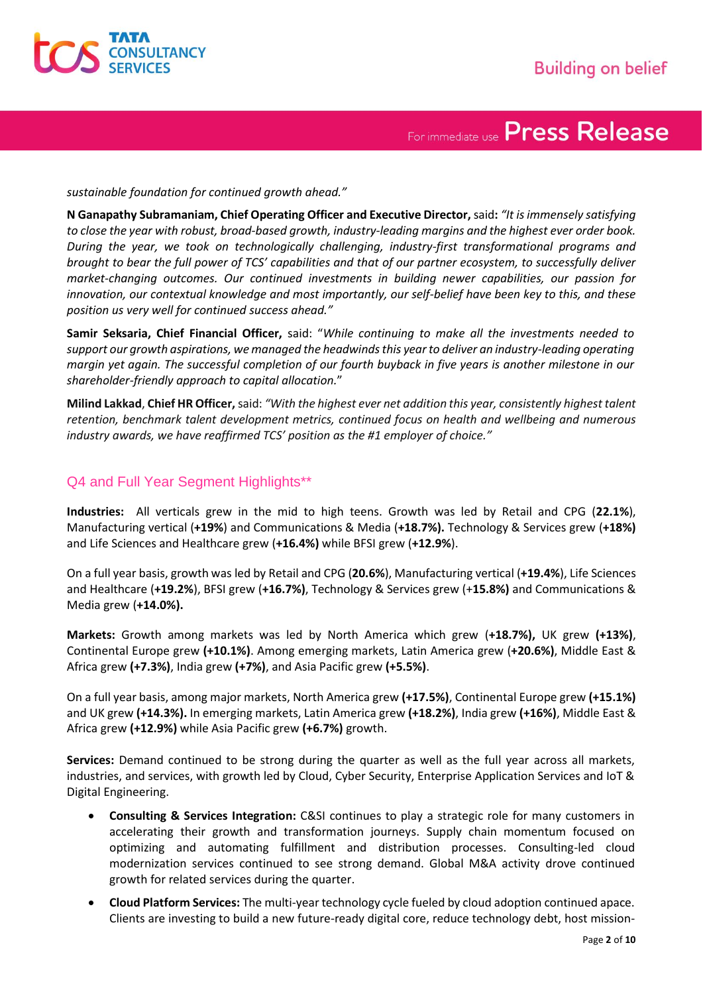

*sustainable foundation for continued growth ahead."*

**N Ganapathy Subramaniam, Chief Operating Officer and Executive Director,** said**:** *"It is immensely satisfying to close the year with robust, broad-based growth, industry-leading margins and the highest ever order book. During the year, we took on technologically challenging, industry-first transformational programs and brought to bear the full power of TCS' capabilities and that of our partner ecosystem, to successfully deliver market-changing outcomes. Our continued investments in building newer capabilities, our passion for innovation, our contextual knowledge and most importantly, our self-belief have been key to this, and these position us very well for continued success ahead."*

**Samir Seksaria, Chief Financial Officer,** said: "*While continuing to make all the investments needed to support our growth aspirations, we managed the headwinds this year to deliver an industry-leading operating margin yet again. The successful completion of our fourth buyback in five years is another milestone in our shareholder-friendly approach to capital allocation.*"

**Milind Lakkad**, **Chief HR Officer,** said: *"With the highest ever net addition this year, consistently highest talent retention, benchmark talent development metrics, continued focus on health and wellbeing and numerous industry awards, we have reaffirmed TCS' position as the #1 employer of choice."*

#### Q4 and Full Year Segment Highlights\*\*

**Industries:** All verticals grew in the mid to high teens. Growth was led by Retail and CPG (**22.1%**), Manufacturing vertical (**+19%**) and Communications & Media (**+18.7%).** Technology & Services grew (**+18%)** and Life Sciences and Healthcare grew (**+16.4%)** while BFSI grew (**+12.9%**).

On a full year basis, growth was led by Retail and CPG (**20.6%**), Manufacturing vertical (**+19.4%**), Life Sciences and Healthcare (**+19.2%**), BFSI grew (**+16.7%)**, Technology & Services grew (+**15.8%)** and Communications & Media grew (**+14.0%).**

**Markets:** Growth among markets was led by North America which grew (**+18.7%),** UK grew **(+13%)**, Continental Europe grew **(+10.1%)**. Among emerging markets, Latin America grew (**+20.6%)**, Middle East & Africa grew **(+7.3%)**, India grew **(+7%)**, and Asia Pacific grew **(+5.5%)**.

On a full year basis, among major markets, North America grew **(+17.5%)**, Continental Europe grew **(+15.1%)** and UK grew **(+14.3%).** In emerging markets, Latin America grew **(+18.2%)**, India grew **(+16%)**, Middle East & Africa grew **(+12.9%)** while Asia Pacific grew **(+6.7%)** growth.

**Services:** Demand continued to be strong during the quarter as well as the full year across all markets, industries, and services, with growth led by Cloud, Cyber Security, Enterprise Application Services and IoT & Digital Engineering.

- **Consulting & Services Integration:** C&SI continues to play a strategic role for many customers in accelerating their growth and transformation journeys. Supply chain momentum focused on optimizing and automating fulfillment and distribution processes. Consulting-led cloud modernization services continued to see strong demand. Global M&A activity drove continued growth for related services during the quarter.
- **Cloud Platform Services:** The multi-year technology cycle fueled by cloud adoption continued apace. Clients are investing to build a new future-ready digital core, reduce technology debt, host mission-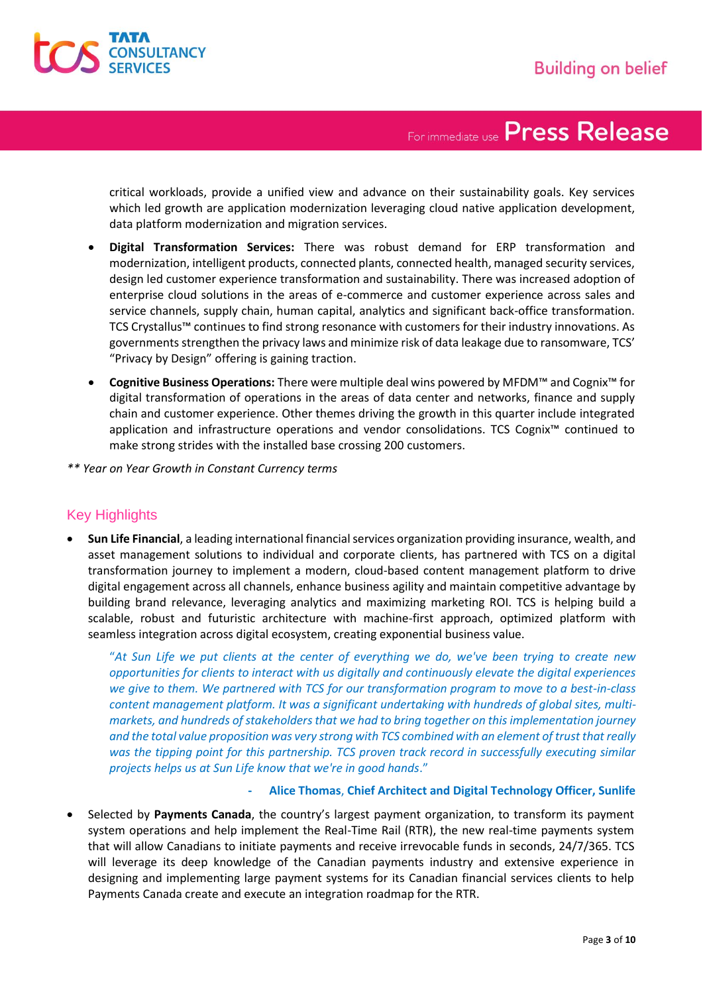

critical workloads, provide a unified view and advance on their sustainability goals. Key services which led growth are application modernization leveraging cloud native application development, data platform modernization and migration services.

- **Digital Transformation Services:** There was robust demand for ERP transformation and modernization, intelligent products, connected plants, connected health, managed security services, design led customer experience transformation and sustainability. There was increased adoption of enterprise cloud solutions in the areas of e-commerce and customer experience across sales and service channels, supply chain, human capital, analytics and significant back-office transformation. TCS Crystallus™ continues to find strong resonance with customers for their industry innovations. As governments strengthen the privacy laws and minimize risk of data leakage due to ransomware, TCS' "Privacy by Design" offering is gaining traction.
- **Cognitive Business Operations:** There were multiple deal wins powered by MFDM™ and Cognix™ for digital transformation of operations in the areas of data center and networks, finance and supply chain and customer experience. Other themes driving the growth in this quarter include integrated application and infrastructure operations and vendor consolidations. TCS Cognix™ continued to make strong strides with the installed base crossing 200 customers.
- *\*\* Year on Year Growth in Constant Currency terms*

#### Key Highlights

• **Sun Life Financial**, a leading international financial services organization providing insurance, wealth, and asset management solutions to individual and corporate clients, has partnered with TCS on a digital transformation journey to implement a modern, cloud-based content management platform to drive digital engagement across all channels, enhance business agility and maintain competitive advantage by building brand relevance, leveraging analytics and maximizing marketing ROI. TCS is helping build a scalable, robust and futuristic architecture with machine-first approach, optimized platform with seamless integration across digital ecosystem, creating exponential business value.

"*At Sun Life we put clients at the center of everything we do, we've been trying to create new opportunities for clients to interact with us digitally and continuously elevate the digital experiences we give to them. We partnered with TCS for our transformation program to move to a best-in-class content management platform. It was a significant undertaking with hundreds of global sites, multimarkets, and hundreds of stakeholders that we had to bring together on this implementation journey and the total value proposition was very strong with TCS combined with an element of trust that really was the tipping point for this partnership. TCS proven track record in successfully executing similar projects helps us at Sun Life know that we're in good hands*."

#### **- Alice Thomas**, **Chief Architect and Digital Technology Officer, Sunlife**

• Selected by **Payments Canada**, the country's largest payment organization, to transform its payment system operations and help implement the Real-Time Rail (RTR), the new real-time payments system that will allow Canadians to initiate payments and receive irrevocable funds in seconds, 24/7/365. TCS will leverage its deep knowledge of the Canadian payments industry and extensive experience in designing and implementing large payment systems for its Canadian financial services clients to help Payments Canada create and execute an integration roadmap for the RTR.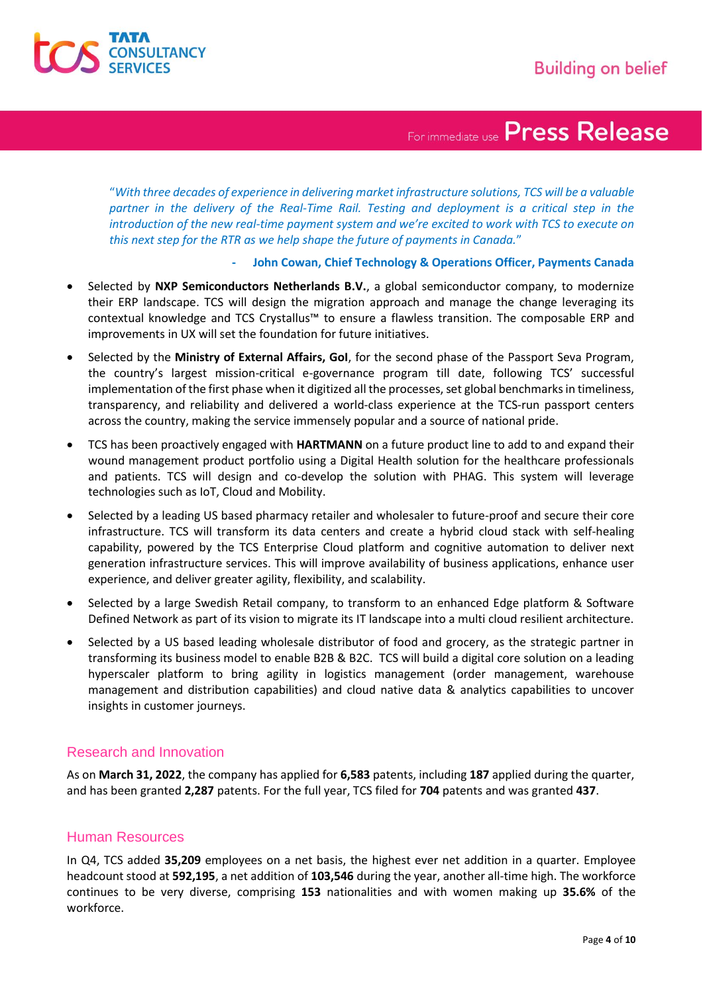

"*With three decades of experience in delivering market infrastructure solutions, TCS will be a valuable partner in the delivery of the Real-Time Rail. Testing and deployment is a critical step in the introduction of the new real-time payment system and we're excited to work with TCS to execute on this next step for the RTR as we help shape the future of payments in Canada.*"

#### **- John Cowan, Chief Technology & Operations Officer, Payments Canada**

- Selected by **NXP Semiconductors Netherlands B.V.**, a global semiconductor company, to modernize their ERP landscape. TCS will design the migration approach and manage the change leveraging its contextual knowledge and TCS Crystallus™ to ensure a flawless transition. The composable ERP and improvements in UX will set the foundation for future initiatives.
- Selected by the **Ministry of External Affairs, GoI**, for the second phase of the Passport Seva Program, the country's largest mission-critical e-governance program till date, following TCS' successful implementation of the first phase when it digitized all the processes, set global benchmarks in timeliness, transparency, and reliability and delivered a world-class experience at the TCS-run passport centers across the country, making the service immensely popular and a source of national pride.
- TCS has been proactively engaged with **HARTMANN** on a future product line to add to and expand their wound management product portfolio using a Digital Health solution for the healthcare professionals and patients. TCS will design and co-develop the solution with PHAG. This system will leverage technologies such as IoT, Cloud and Mobility.
- Selected by a leading US based pharmacy retailer and wholesaler to future-proof and secure their core infrastructure. TCS will transform its data centers and create a hybrid cloud stack with self-healing capability, powered by the TCS Enterprise Cloud platform and cognitive automation to deliver next generation infrastructure services. This will improve availability of business applications, enhance user experience, and deliver greater agility, flexibility, and scalability.
- Selected by a large Swedish Retail company, to transform to an enhanced Edge platform & Software Defined Network as part of its vision to migrate its IT landscape into a multi cloud resilient architecture.
- Selected by a US based leading wholesale distributor of food and grocery, as the strategic partner in transforming its business model to enable B2B & B2C. TCS will build a digital core solution on a leading hyperscaler platform to bring agility in logistics management (order management, warehouse management and distribution capabilities) and cloud native data & analytics capabilities to uncover insights in customer journeys.

#### Research and Innovation

As on **March 31, 2022**, the company has applied for **6,583** patents, including **187** applied during the quarter, and has been granted **2,287** patents. For the full year, TCS filed for **704** patents and was granted **437**.

#### Human Resources

In Q4, TCS added **35,209** employees on a net basis, the highest ever net addition in a quarter. Employee headcount stood at **592,195**, a net addition of **103,546** during the year, another all-time high. The workforce continues to be very diverse, comprising **153** nationalities and with women making up **35.6%** of the workforce.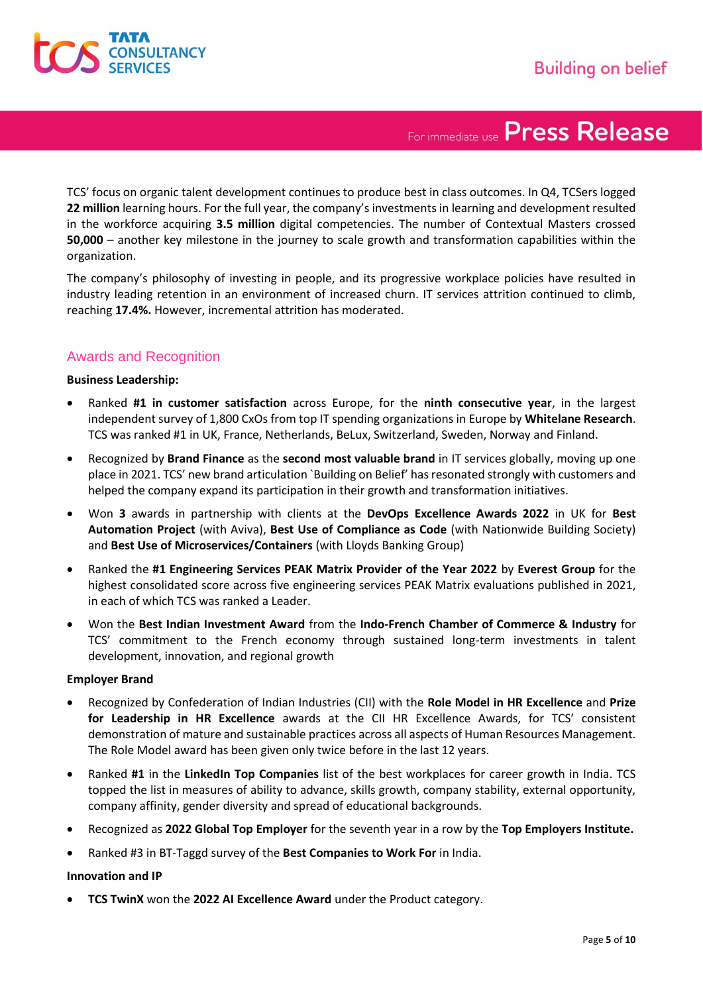

TCS' focus on organic talent development continues to produce best in class outcomes. In Q4, TCSers logged **22 million** learning hours. For the full year, the company's investments in learning and development resulted in the workforce acquiring **3.5 million** digital competencies. The number of Contextual Masters crossed **50,000** – another key milestone in the journey to scale growth and transformation capabilities within the organization.

The company's philosophy of investing in people, and its progressive workplace policies have resulted in industry leading retention in an environment of increased churn. IT services attrition continued to climb, reaching **17.4%.** However, incremental attrition has moderated.

#### Awards and Recognition

#### **Business Leadership:**

- Ranked **#1 in customer satisfaction** across Europe, for the **ninth consecutive year**, in the largest independent survey of 1,800 CxOs from top IT spending organizations in Europe by **Whitelane Research**. TCS was ranked #1 in UK, France, Netherlands, BeLux, Switzerland, Sweden, Norway and Finland.
- Recognized by **Brand Finance** as the **second most valuable brand** in IT services globally, moving up one place in 2021. TCS' new brand articulation `Building on Belief' has resonated strongly with customers and helped the company expand its participation in their growth and transformation initiatives.
- Won **3** awards in partnership with clients at the **DevOps Excellence Awards 2022** in UK for **Best Automation Project** (with Aviva), **Best Use of Compliance as Code** (with Nationwide Building Society) and **Best Use of Microservices/Containers** (with Lloyds Banking Group)
- Ranked the **#1 Engineering Services PEAK Matrix Provider of the Year 2022** by **Everest Group** for the highest consolidated score across five engineering services PEAK Matrix evaluations published in 2021, in each of which TCS was ranked a Leader.
- Won the **Best Indian Investment Award** from the **Indo-French Chamber of Commerce & Industry** for TCS' commitment to the French economy through sustained long-term investments in talent development, innovation, and regional growth

#### **Employer Brand**

- Recognized by Confederation of Indian Industries (CII) with the **Role Model in HR Excellence** and **Prize for Leadership in HR Excellence** awards at the CII HR Excellence Awards, for TCS' consistent demonstration of mature and sustainable practices across all aspects of Human Resources Management. The Role Model award has been given only twice before in the last 12 years.
- Ranked **#1** in the **LinkedIn Top Companies** list of the best workplaces for career growth in India. TCS topped the list in measures of ability to advance, skills growth, company stability, external opportunity, company affinity, gender diversity and spread of educational backgrounds.
- Recognized as **2022 Global Top Employer** for the seventh year in a row by the **Top Employers Institute.**
- Ranked #3 in BT-Taggd survey of the **Best Companies to Work For** in India.

#### **Innovation and IP**

• **TCS TwinX** won the **2022 AI Excellence Award** under the Product category.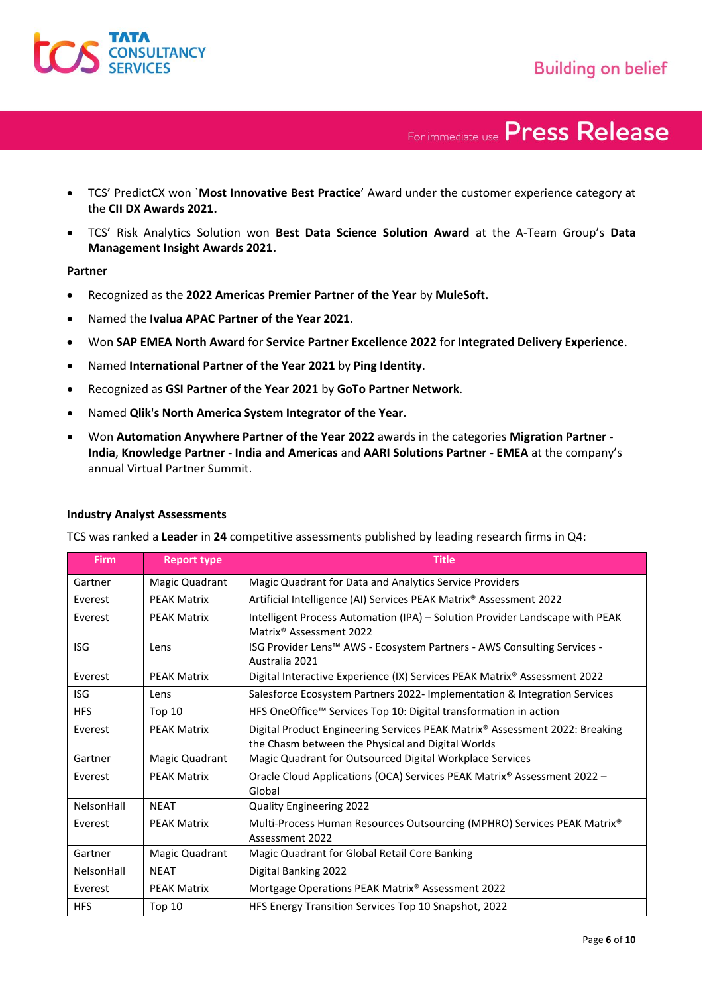- TCS' PredictCX won `**Most Innovative Best Practice**' Award under the customer experience category at the **CII DX Awards 2021.**
- TCS' Risk Analytics Solution won **Best Data Science Solution Award** at the A-Team Group's **Data Management Insight Awards 2021.**

#### **Partner**

- Recognized as the **2022 Americas Premier Partner of the Year** by **MuleSoft.**
- Named the **Ivalua APAC Partner of the Year 2021**.
- Won **SAP EMEA North Award** for **Service Partner Excellence 2022** for **Integrated Delivery Experience**.
- Named **International Partner of the Year 2021** by **Ping Identity**.
- Recognized as **GSI Partner of the Year 2021** by **GoTo Partner Network**.
- Named **Qlik's North America System Integrator of the Year**.
- Won **Automation Anywhere Partner of the Year 2022** awards in the categories **Migration Partner - India**, **Knowledge Partner - India and Americas** and **AARI Solutions Partner - EMEA** at the company's annual Virtual Partner Summit.

| <b>Firm</b> | <b>Report type</b> | <b>Title</b>                                                                                                                     |
|-------------|--------------------|----------------------------------------------------------------------------------------------------------------------------------|
| Gartner     | Magic Quadrant     | Magic Quadrant for Data and Analytics Service Providers                                                                          |
| Everest     | <b>PEAK Matrix</b> | Artificial Intelligence (AI) Services PEAK Matrix® Assessment 2022                                                               |
| Everest     | <b>PEAK Matrix</b> | Intelligent Process Automation (IPA) - Solution Provider Landscape with PEAK<br>Matrix <sup>®</sup> Assessment 2022              |
| <b>ISG</b>  | Lens               | ISG Provider Lens™ AWS - Ecosystem Partners - AWS Consulting Services -<br>Australia 2021                                        |
| Everest     | <b>PEAK Matrix</b> | Digital Interactive Experience (IX) Services PEAK Matrix® Assessment 2022                                                        |
| <b>ISG</b>  | Lens               | Salesforce Ecosystem Partners 2022- Implementation & Integration Services                                                        |
| <b>HFS</b>  | <b>Top 10</b>      | HFS OneOffice™ Services Top 10: Digital transformation in action                                                                 |
| Everest     | <b>PEAK Matrix</b> | Digital Product Engineering Services PEAK Matrix® Assessment 2022: Breaking<br>the Chasm between the Physical and Digital Worlds |
| Gartner     | Magic Quadrant     | Magic Quadrant for Outsourced Digital Workplace Services                                                                         |
| Everest     | <b>PEAK Matrix</b> | Oracle Cloud Applications (OCA) Services PEAK Matrix® Assessment 2022 -<br>Global                                                |
| NelsonHall  | <b>NEAT</b>        | <b>Quality Engineering 2022</b>                                                                                                  |
| Everest     | <b>PEAK Matrix</b> | Multi-Process Human Resources Outsourcing (MPHRO) Services PEAK Matrix®<br>Assessment 2022                                       |
| Gartner     | Magic Quadrant     | Magic Quadrant for Global Retail Core Banking                                                                                    |
| NelsonHall  | <b>NEAT</b>        | Digital Banking 2022                                                                                                             |
| Everest     | <b>PEAK Matrix</b> | Mortgage Operations PEAK Matrix® Assessment 2022                                                                                 |
| <b>HFS</b>  | <b>Top 10</b>      | HFS Energy Transition Services Top 10 Snapshot, 2022                                                                             |

#### **Industry Analyst Assessments**

TCS was ranked a **Leader** in **24** competitive assessments published by leading research firms in Q4: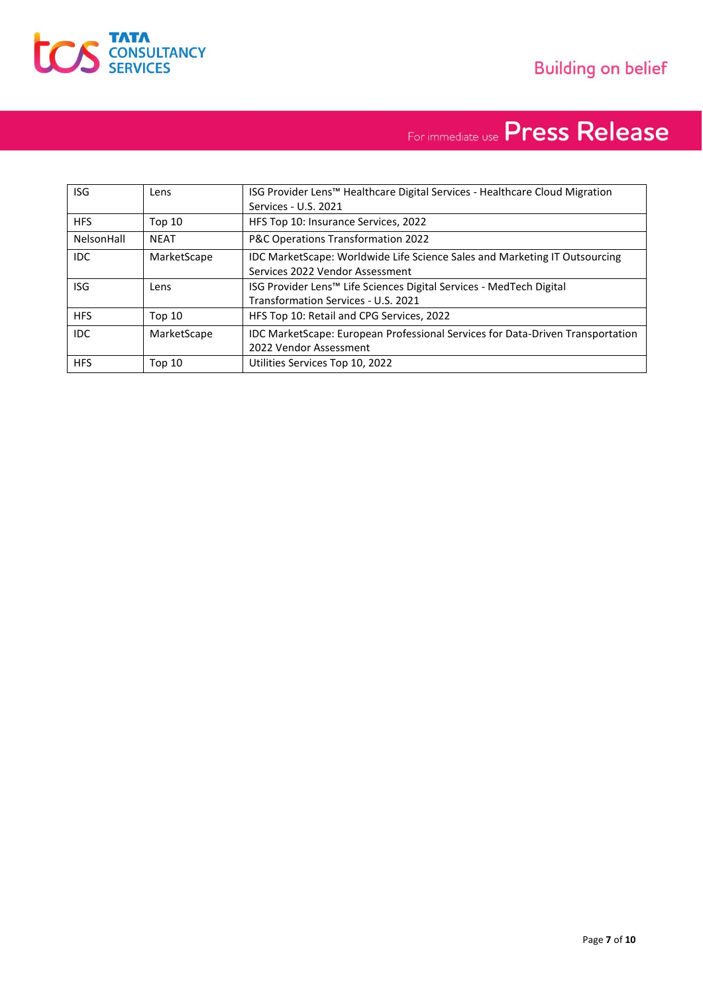

| <b>ISG</b> | Lens          | ISG Provider Lens™ Healthcare Digital Services - Healthcare Cloud Migration<br>Services - U.S. 2021                    |
|------------|---------------|------------------------------------------------------------------------------------------------------------------------|
| <b>HFS</b> | <b>Top 10</b> | HFS Top 10: Insurance Services, 2022                                                                                   |
| NelsonHall | <b>NEAT</b>   | P&C Operations Transformation 2022                                                                                     |
| IDC.       | MarketScape   | IDC MarketScape: Worldwide Life Science Sales and Marketing IT Outsourcing<br>Services 2022 Vendor Assessment          |
| <b>ISG</b> | Lens          | ISG Provider Lens <sup>™</sup> Life Sciences Digital Services - MedTech Digital<br>Transformation Services - U.S. 2021 |
| <b>HFS</b> | Top 10        | HFS Top 10: Retail and CPG Services, 2022                                                                              |
| IDC.       | MarketScape   | <b>IDC MarketScape: European Professional Services for Data-Driven Transportation</b><br>2022 Vendor Assessment        |
| <b>HFS</b> | Top 10        | Utilities Services Top 10, 2022                                                                                        |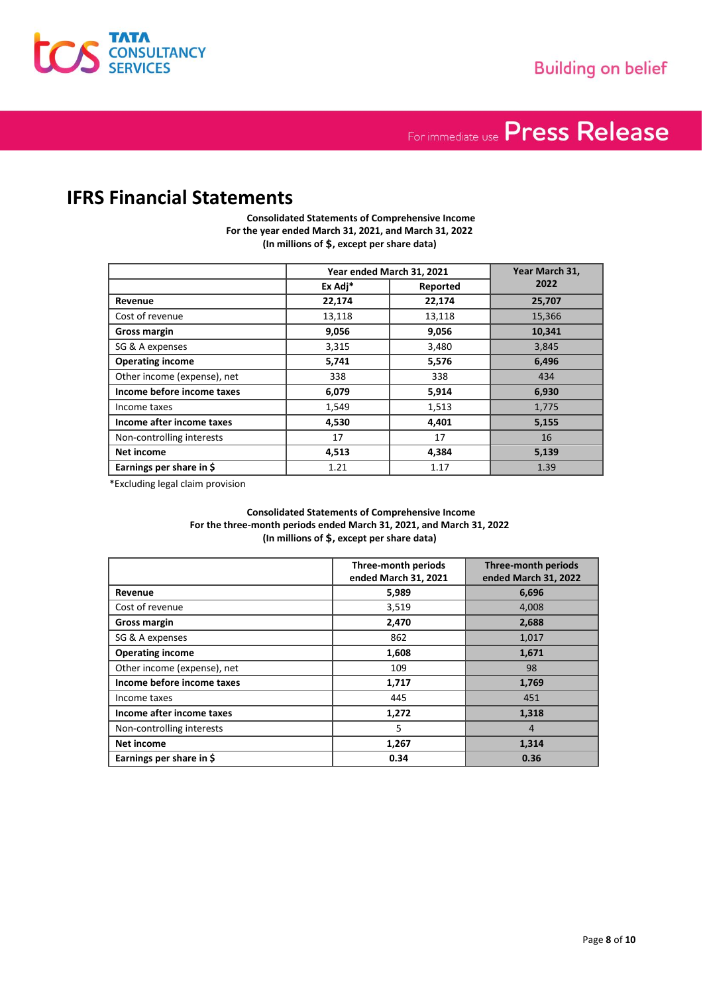

### **IFRS Financial Statements**

**Consolidated Statements of Comprehensive Income For the year ended March 31, 2021, and March 31, 2022 (In millions of** \$**, except per share data)**

|                             | Year ended March 31, 2021 |          | Year March 31, |
|-----------------------------|---------------------------|----------|----------------|
|                             | Ex Adj*                   | Reported | 2022           |
| Revenue                     | 22,174                    | 22,174   | 25,707         |
| Cost of revenue             | 13,118                    | 13,118   | 15,366         |
| <b>Gross margin</b>         | 9,056                     | 9,056    | 10,341         |
| SG & A expenses             | 3,315                     | 3,480    | 3,845          |
| <b>Operating income</b>     | 5,741                     | 5,576    | 6,496          |
| Other income (expense), net | 338                       | 338      | 434            |
| Income before income taxes  | 6,079                     | 5,914    | 6,930          |
| Income taxes                | 1,549                     | 1,513    | 1,775          |
| Income after income taxes   | 4,530                     | 4,401    | 5,155          |
| Non-controlling interests   | 17                        | 17       | 16             |
| Net income                  | 4,513                     | 4,384    | 5,139          |
| Earnings per share in \$    | 1.21                      | 1.17     | 1.39           |

\*Excluding legal claim provision

**Consolidated Statements of Comprehensive Income For the three-month periods ended March 31, 2021, and March 31, 2022 (In millions of** \$**, except per share data)**

|                             | Three-month periods<br>ended March 31, 2021 | <b>Three-month periods</b><br>ended March 31, 2022 |
|-----------------------------|---------------------------------------------|----------------------------------------------------|
| Revenue                     | 5,989                                       | 6,696                                              |
| Cost of revenue             | 3,519                                       | 4,008                                              |
| <b>Gross margin</b>         | 2,470                                       | 2,688                                              |
| SG & A expenses             | 862                                         | 1,017                                              |
| <b>Operating income</b>     | 1,608                                       | 1,671                                              |
| Other income (expense), net | 109                                         | 98                                                 |
| Income before income taxes  | 1,717                                       | 1,769                                              |
| Income taxes                | 445                                         | 451                                                |
| Income after income taxes   | 1,272                                       | 1,318                                              |
| Non-controlling interests   | 5                                           | $\overline{4}$                                     |
| <b>Net income</b>           | 1,267                                       | 1,314                                              |
| Earnings per share in \$    | 0.34                                        | 0.36                                               |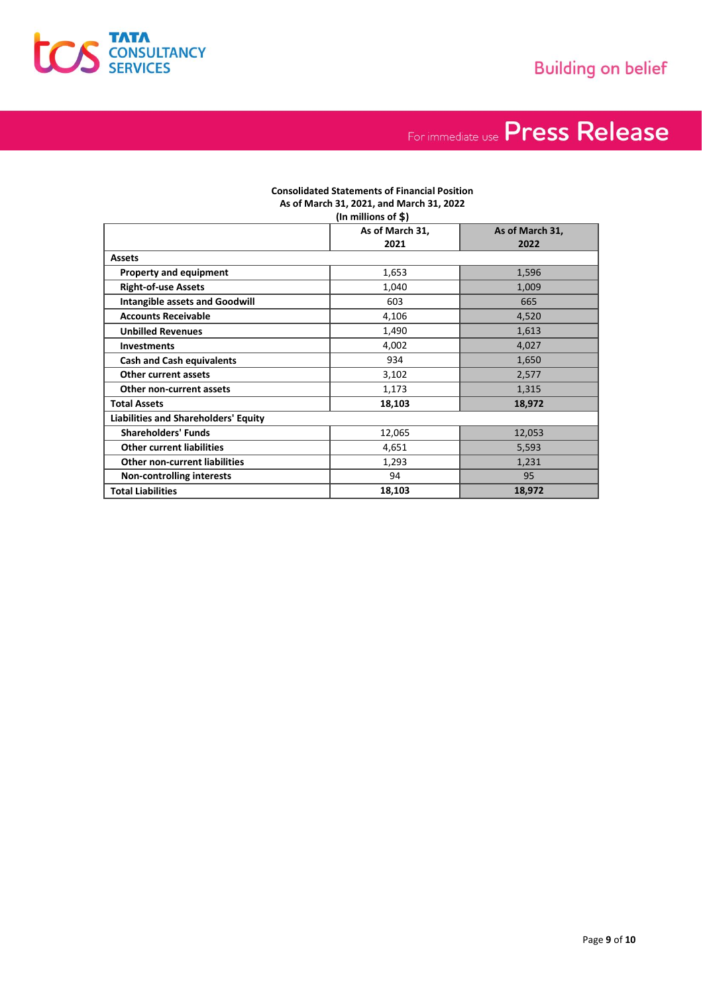

#### **Consolidated Statements of Financial Position As of March 31, 2021, and March 31, 2022 (In millions of** \$**)**

|                                             | As of March 31, | As of March 31, |
|---------------------------------------------|-----------------|-----------------|
|                                             | 2021            | 2022            |
| <b>Assets</b>                               |                 |                 |
| <b>Property and equipment</b>               | 1,653           | 1,596           |
| <b>Right-of-use Assets</b>                  | 1,040           | 1,009           |
| <b>Intangible assets and Goodwill</b>       | 603             | 665             |
| <b>Accounts Receivable</b>                  | 4,106           | 4,520           |
| <b>Unbilled Revenues</b>                    | 1,490           | 1,613           |
| <b>Investments</b>                          | 4,002           | 4,027           |
| <b>Cash and Cash equivalents</b>            | 934             | 1,650           |
| <b>Other current assets</b>                 | 3,102           | 2,577           |
| Other non-current assets                    | 1,173           | 1,315           |
| <b>Total Assets</b>                         | 18,103          | 18,972          |
| <b>Liabilities and Shareholders' Equity</b> |                 |                 |
| <b>Shareholders' Funds</b>                  | 12,065          | 12,053          |
| <b>Other current liabilities</b>            | 4,651           | 5,593           |
| <b>Other non-current liabilities</b>        | 1,293           | 1,231           |
| <b>Non-controlling interests</b>            | 94              | 95              |
| <b>Total Liabilities</b>                    | 18,103          | 18,972          |